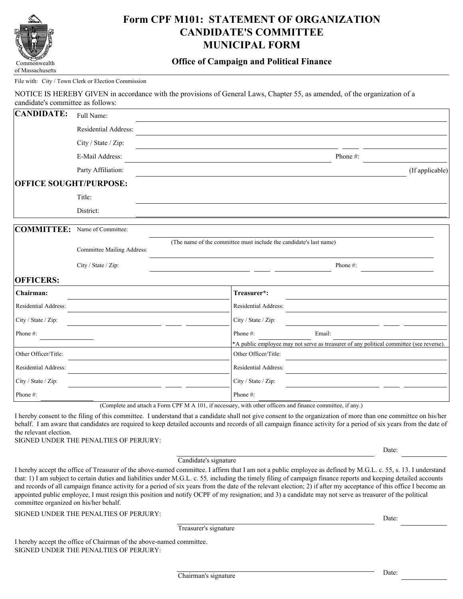

# **Form CPF M101: STATEMENT OF ORGANIZATION CANDIDATE'S COMMITTEE MUNICIPAL FORM**

## **Office of Campaign and Political Finance**

#### File with: City / Town Clerk or Election Commission

NOTICE IS HEREBY GIVEN in accordance with the provisions of General Laws, Chapter 55, as amended, of the organization of a candidate's committee as follows:

| <b>CANDIDATE:</b>             | Full Name:                 |                                                                                         |
|-------------------------------|----------------------------|-----------------------------------------------------------------------------------------|
|                               | Residential Address:       |                                                                                         |
|                               | City / State / Zip:        |                                                                                         |
|                               | E-Mail Address:            | Phone#:                                                                                 |
|                               | Party Affiliation:         | (If applicable)                                                                         |
| <b>OFFICE SOUGHT/PURPOSE:</b> |                            |                                                                                         |
|                               | Title:                     |                                                                                         |
|                               | District:                  |                                                                                         |
| COMMITTEE:                    | Name of Committee:         |                                                                                         |
|                               | Committee Mailing Address: | (The name of the committee must include the candidate's last name)                      |
|                               | City / State / Zip:        | Phone#:                                                                                 |
| <b>OFFICERS:</b>              |                            |                                                                                         |
| Chairman:                     |                            | Treasurer*:                                                                             |
| Residential Address:          |                            | Residential Address:                                                                    |
| City / State / Zip:           |                            | City / State / Zip:                                                                     |
| Phone #:                      |                            | Phone #:<br>Email:                                                                      |
|                               |                            | *A public employee may not serve as treasurer of any political committee (see reverse). |
| Other Officer/Title:          |                            | Other Officer/Title:                                                                    |
| Residential Address:          |                            | Residential Address:                                                                    |
| City / State / Zip:           |                            | City / State / Zip:                                                                     |
| Phone#:                       |                            | Phone#:                                                                                 |

(Complete and attach a Form CPF M A 101, if necessary, with other officers and finance committee, if any.)

I hereby consent to the filing of this committee. I understand that a candidate shall not give consent to the organization of more than one committee on his/her behalf. I am aware that candidates are required to keep detailed accounts and records of all campaign finance activity for a period of six years from the date of the relevant election.

SIGNED UNDER THE PENALTIES OF PERJURY:

Candidate's signature

I hereby accept the office of Treasurer of the above-named committee. I affirm that I am not a public employee as defined by M.G.L. c. 55, s. 13. I understand that: 1) I am subject to certain duties and liabilities under M.G.L. c. 55*,* including the timely filing of campaign finance reports and keeping detailed accounts and records of all campaign finance activity for a period of six years from the date of the relevant election; 2) if after my acceptance of this office I become an appointed public employee, I must resign this position and notify OCPF of my resignation; and 3) a candidate may not serve as treasurer of the political committee organized on his/her behalf.

SIGNED UNDER THE PENALTIES OF PERJURY:

Treasurer's signature

I hereby accept the office of Chairman of the above-named committee. SIGNED UNDER THE PENALTIES OF PERJURY:

Date:

Date: